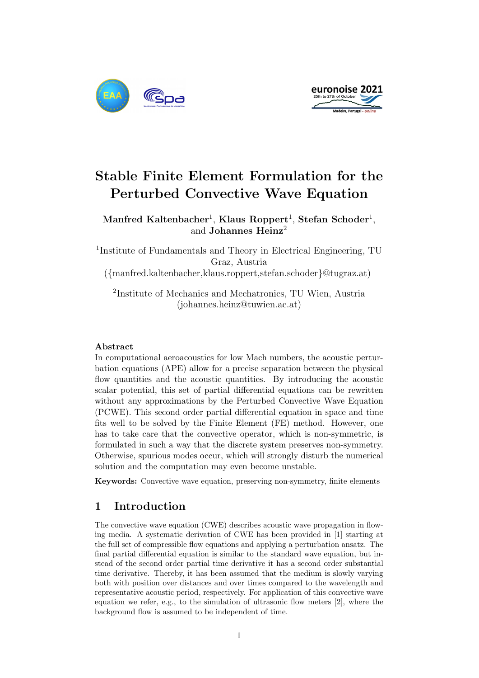



# Stable Finite Element Formulation for the Perturbed Convective Wave Equation

 $\mathbf{M}$ anfred Kaltenbacher<sup>1</sup>, Klaus Roppert<sup>1</sup>, Stefan Schoder<sup>1</sup>, and Johannes Heinz<sup>2</sup>

<sup>1</sup>Institute of Fundamentals and Theory in Electrical Engineering, TU Graz, Austria ({manfred.kaltenbacher,klaus.roppert,stefan.schoder}@tugraz.at)

2 Institute of Mechanics and Mechatronics, TU Wien, Austria (johannes.heinz@tuwien.ac.at)

#### Abstract

In computational aeroacoustics for low Mach numbers, the acoustic perturbation equations (APE) allow for a precise separation between the physical flow quantities and the acoustic quantities. By introducing the acoustic scalar potential, this set of partial differential equations can be rewritten without any approximations by the Perturbed Convective Wave Equation (PCWE). This second order partial differential equation in space and time fits well to be solved by the Finite Element (FE) method. However, one has to take care that the convective operator, which is non-symmetric, is formulated in such a way that the discrete system preserves non-symmetry. Otherwise, spurious modes occur, which will strongly disturb the numerical solution and the computation may even become unstable.

Keywords: Convective wave equation, preserving non-symmetry, finite elements

### 1 Introduction

The convective wave equation (CWE) describes acoustic wave propagation in flowing media. A systematic derivation of CWE has been provided in [1] starting at the full set of compressible flow equations and applying a perturbation ansatz. The final partial differential equation is similar to the standard wave equation, but instead of the second order partial time derivative it has a second order substantial time derivative. Thereby, it has been assumed that the medium is slowly varying both with position over distances and over times compared to the wavelength and representative acoustic period, respectively. For application of this convective wave equation we refer, e.g., to the simulation of ultrasonic flow meters [2], where the background flow is assumed to be independent of time.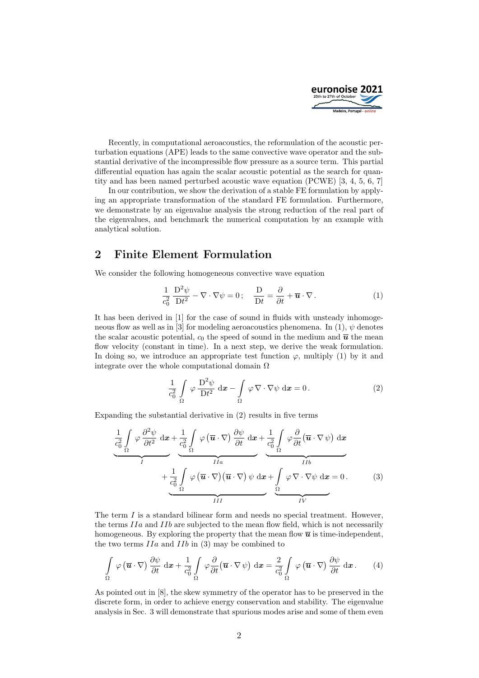

Recently, in computational aeroacoustics, the reformulation of the acoustic perturbation equations (APE) leads to the same convective wave operator and the substantial derivative of the incompressible flow pressure as a source term. This partial differential equation has again the scalar acoustic potential as the search for quantity and has been named perturbed acoustic wave equation (PCWE) [3, 4, 5, 6, 7]

In our contribution, we show the derivation of a stable FE formulation by applying an appropriate transformation of the standard FE formulation. Furthermore, we demonstrate by an eigenvalue analysis the strong reduction of the real part of the eigenvalues, and benchmark the numerical computation by an example with analytical solution.

## 2 Finite Element Formulation

We consider the following homogeneous convective wave equation

$$
\frac{1}{c_0^2} \frac{D^2 \psi}{Dt^2} - \nabla \cdot \nabla \psi = 0; \quad \frac{D}{Dt} = \frac{\partial}{\partial t} + \overline{u} \cdot \nabla.
$$
 (1)

It has been derived in [1] for the case of sound in fluids with unsteady inhomogeneous flow as well as in [3] for modeling aeroacoustics phenomena. In (1),  $\psi$  denotes the scalar acoustic potential,  $c_0$  the speed of sound in the medium and  $\bar{u}$  the mean flow velocity (constant in time). In a next step, we derive the weak formulation. In doing so, we introduce an appropriate test function  $\varphi$ , multiply (1) by it and integrate over the whole computational domain  $\Omega$ 

$$
\frac{1}{c_0^2} \int\limits_{\Omega} \varphi \frac{\mathrm{D}^2 \psi}{\mathrm{D}t^2} \, \mathrm{d}x - \int\limits_{\Omega} \varphi \, \nabla \cdot \nabla \psi \, \mathrm{d}x = 0 \,. \tag{2}
$$

Expanding the substantial derivative in (2) results in five terms

$$
\underbrace{\frac{1}{c_0^2} \int\limits_{\Omega} \varphi \frac{\partial^2 \psi}{\partial t^2} dx}_{I} + \underbrace{\frac{1}{c_0^2} \int\limits_{\Omega} \varphi (\overline{u} \cdot \nabla) \frac{\partial \psi}{\partial t} dx}_{IIa} + \underbrace{\frac{1}{c_0^2} \int\limits_{\Omega} \varphi \frac{\partial}{\partial t} (\overline{u} \cdot \nabla \psi) dx}_{IIIb}
$$
\n
$$
+ \underbrace{\frac{1}{c_0^2} \int\limits_{\Omega} \varphi (\overline{u} \cdot \nabla) (\overline{u} \cdot \nabla) \psi dx}_{III} + \underbrace{\frac{1}{c_0^2} \int\limits_{\Omega} \varphi (\overline{u} \cdot \nabla) \psi dx}_{III} + \underbrace{\frac{1}{c_0^2} \int\limits_{\Omega} \varphi (\overline{u} \cdot \nabla) \psi dx}_{III} + \underbrace{\frac{1}{c_0^2} \int\limits_{\Omega} \varphi (\overline{u} \cdot \nabla) \psi dx}_{III} + \underbrace{\frac{1}{c_0^2} \int\limits_{\Omega} \varphi (\overline{u} \cdot \nabla) \psi dx}_{III} + \underbrace{\frac{1}{c_0^2} \int\limits_{\Omega} \varphi (\overline{u} \cdot \nabla) \psi dx}_{III} + \underbrace{\frac{1}{c_0^2} \int\limits_{\Omega} \varphi (\overline{u} \cdot \nabla) \psi dx}_{III} + \underbrace{\frac{1}{c_0^2} \int\limits_{\Omega} \varphi (\overline{u} \cdot \nabla) \psi dx}_{III} + \underbrace{\frac{1}{c_0^2} \int\limits_{\Omega} \varphi (\overline{u} \cdot \nabla) \psi dx}_{III} + \underbrace{\frac{1}{c_0^2} \int\limits_{\Omega} \varphi (\overline{u} \cdot \nabla) \psi dx}_{III} + \underbrace{\frac{1}{c_0^2} \int\limits_{\Omega} \varphi (\overline{u} \cdot \nabla) \psi dx}_{III} + \underbrace{\frac{1}{c_0^2} \int\limits_{\Omega} \varphi (\overline{u} \cdot \nabla) \psi dx}_{III} + \underbrace{\frac{1}{c_0^2} \int\limits_{\Omega} \varphi (\overline{u} \cdot \nabla) \psi dx}_{III
$$

The term I is a standard bilinear form and needs no special treatment. However, the terms IIa and IIb are subjected to the mean flow field, which is not necessarily homogeneous. By exploring the property that the mean flow  $\overline{u}$  is time-independent, the two terms  $IIa$  and  $IIb$  in (3) may be combined to

$$
\int_{\Omega} \varphi(\overline{\mathbf{u}} \cdot \nabla) \frac{\partial \psi}{\partial t} d\mathbf{x} + \frac{1}{c_0^2} \int_{\Omega} \varphi \frac{\partial}{\partial t} (\overline{\mathbf{u}} \cdot \nabla \psi) d\mathbf{x} = \frac{2}{c_0^2} \int_{\Omega} \varphi(\overline{\mathbf{u}} \cdot \nabla) \frac{\partial \psi}{\partial t} d\mathbf{x}.
$$
 (4)

As pointed out in [8], the skew symmetry of the operator has to be preserved in the discrete form, in order to achieve energy conservation and stability. The eigenvalue analysis in Sec. 3 will demonstrate that spurious modes arise and some of them even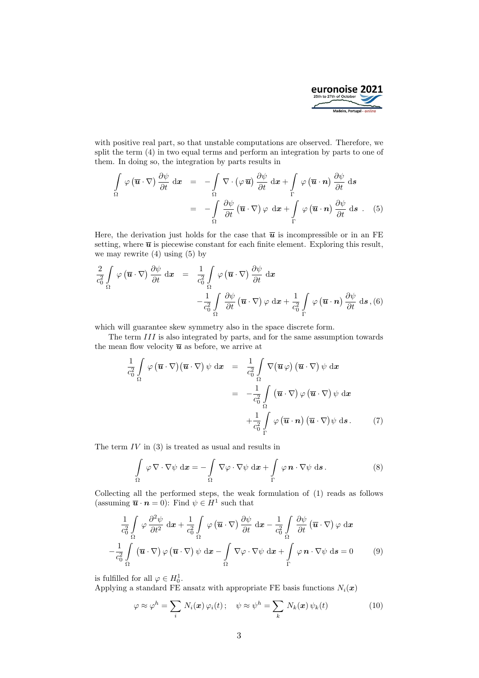

with positive real part, so that unstable computations are observed. Therefore, we split the term (4) in two equal terms and perform an integration by parts to one of them. In doing so, the integration by parts results in

$$
\int_{\Omega} \varphi(\overline{\mathbf{u}} \cdot \nabla) \frac{\partial \psi}{\partial t} d\mathbf{x} = -\int_{\Omega} \nabla \cdot (\varphi \overline{\mathbf{u}}) \frac{\partial \psi}{\partial t} d\mathbf{x} + \int_{\Gamma} \varphi(\overline{\mathbf{u}} \cdot \mathbf{n}) \frac{\partial \psi}{\partial t} d\mathbf{s}
$$
\n
$$
= -\int_{\Omega} \frac{\partial \psi}{\partial t} (\overline{\mathbf{u}} \cdot \nabla) \varphi d\mathbf{x} + \int_{\Gamma} \varphi(\overline{\mathbf{u}} \cdot \mathbf{n}) \frac{\partial \psi}{\partial t} d\mathbf{s} . (5)
$$

Here, the derivation just holds for the case that  $\bar{u}$  is incompressible or in an FE setting, where  $\bar{u}$  is piecewise constant for each finite element. Exploring this result, we may rewrite  $(4)$  using  $(5)$  by

$$
\frac{2}{c_0^2} \int\limits_{\Omega} \varphi(\overline{\mathbf{u}} \cdot \nabla) \frac{\partial \psi}{\partial t} d\mathbf{x} = \frac{1}{c_0^2} \int\limits_{\Omega} \varphi(\overline{\mathbf{u}} \cdot \nabla) \frac{\partial \psi}{\partial t} d\mathbf{x} \n- \frac{1}{c_0^2} \int\limits_{\Omega} \frac{\partial \psi}{\partial t} (\overline{\mathbf{u}} \cdot \nabla) \varphi d\mathbf{x} + \frac{1}{c_0^2} \int\limits_{\Gamma} \varphi(\overline{\mathbf{u}} \cdot \mathbf{n}) \frac{\partial \psi}{\partial t} d\mathbf{s}, (6)
$$

which will guarantee skew symmetry also in the space discrete form.

The term III is also integrated by parts, and for the same assumption towards the mean flow velocity  $\overline{u}$  as before, we arrive at

$$
\frac{1}{c_0^2} \int\limits_{\Omega} \varphi(\overline{\mathbf{u}} \cdot \nabla) (\overline{\mathbf{u}} \cdot \nabla) \psi \, \mathrm{d}\mathbf{x} = \frac{1}{c_0^2} \int\limits_{\Omega} \nabla(\overline{\mathbf{u}} \varphi) (\overline{\mathbf{u}} \cdot \nabla) \psi \, \mathrm{d}\mathbf{x}
$$
\n
$$
= -\frac{1}{c_0^2} \int\limits_{\Omega} (\overline{\mathbf{u}} \cdot \nabla) \varphi (\overline{\mathbf{u}} \cdot \nabla) \psi \, \mathrm{d}\mathbf{x}
$$
\n
$$
+ \frac{1}{c_0^2} \int\limits_{\Gamma} \varphi (\overline{\mathbf{u}} \cdot \mathbf{n}) (\overline{\mathbf{u}} \cdot \nabla) \psi \, \mathrm{d}\mathbf{s}. \tag{7}
$$

The term  $IV$  in  $(3)$  is treated as usual and results in

$$
\int_{\Omega} \varphi \nabla \cdot \nabla \psi \, \mathrm{d} \boldsymbol{x} = -\int_{\Omega} \nabla \varphi \cdot \nabla \psi \, \mathrm{d} \boldsymbol{x} + \int_{\Gamma} \varphi \, \boldsymbol{n} \cdot \nabla \psi \, \mathrm{d} \boldsymbol{s} \,.
$$
 (8)

Collecting all the performed steps, the weak formulation of (1) reads as follows (assuming  $\overline{\boldsymbol{u}} \cdot \boldsymbol{n} = 0$ ): Find  $\psi \in H^1$  such that

$$
\frac{1}{c_0^2} \int_{\Omega} \varphi \frac{\partial^2 \psi}{\partial t^2} dx + \frac{1}{c_0^2} \int_{\Omega} \varphi (\overline{u} \cdot \nabla) \frac{\partial \psi}{\partial t} dx - \frac{1}{c_0^2} \int_{\Omega} \frac{\partial \psi}{\partial t} (\overline{u} \cdot \nabla) \varphi dx
$$

$$
- \frac{1}{c_0^2} \int_{\Omega} (\overline{u} \cdot \nabla) \varphi (\overline{u} \cdot \nabla) \psi dx - \int_{\Omega} \nabla \varphi \cdot \nabla \psi dx + \int_{\Gamma} \varphi \mathbf{n} \cdot \nabla \psi ds = 0 \qquad (9)
$$

is fulfilled for all  $\varphi \in H_0^1$ .

Applying a standard FE ansatz with appropriate FE basis functions  $N_i(x)$ 

$$
\varphi \approx \varphi^h = \sum_i N_i(\boldsymbol{x}) \varphi_i(t); \quad \psi \approx \psi^h = \sum_k N_k(\boldsymbol{x}) \psi_k(t)
$$
 (10)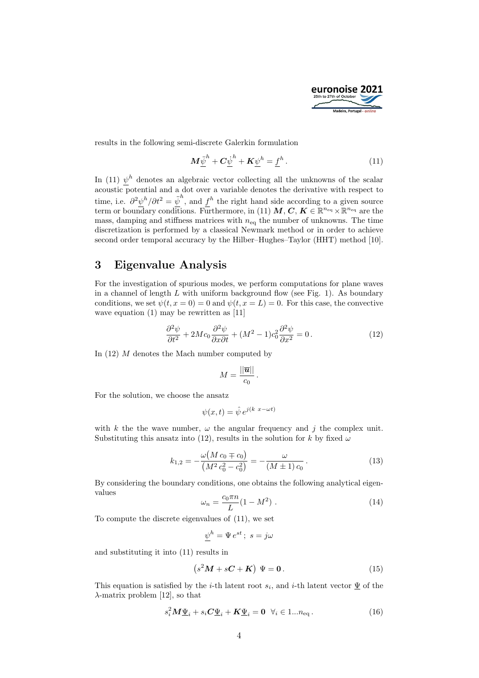

results in the following semi-discrete Galerkin formulation

$$
\boldsymbol{M}\ddot{\underline{\psi}}^h + \boldsymbol{C}\dot{\underline{\psi}}^h + \boldsymbol{K}\underline{\psi}^h = \underline{f}^h.
$$
 (11)

In (11)  $\psi^h$  denotes an algebraic vector collecting all the unknowns of the scalar acoustic potential and a dot over a variable denotes the derivative with respect to time, i.e.  $\partial^2 \psi^h / \partial t^2 = \ddot{\psi}^h$ , and  $f^h$  the right hand side according to a given source term or boundary conditions. Furthermore, in (11) M, C,  $K \in \mathbb{R}^{n_{\text{eq}}} \times \mathbb{R}^{n_{\text{eq}}}$  are the mass, damping and stiffness matrices with  $n_{\text{eq}}$  the number of unknowns. The time discretization is performed by a classical Newmark method or in order to achieve second order temporal accuracy by the Hilber–Hughes–Taylor (HHT) method [10].

#### 3 Eigenvalue Analysis

For the investigation of spurious modes, we perform computations for plane waves in a channel of length  $L$  with uniform background flow (see Fig. 1). As boundary conditions, we set  $\psi(t, x = 0) = 0$  and  $\psi(t, x = L) = 0$ . For this case, the convective wave equation (1) may be rewritten as [11]

$$
\frac{\partial^2 \psi}{\partial t^2} + 2Mc_0 \frac{\partial^2 \psi}{\partial x \partial t} + (M^2 - 1)c_0^2 \frac{\partial^2 \psi}{\partial x^2} = 0.
$$
 (12)

In (12) M denotes the Mach number computed by

$$
M=\frac{||\overline{\boldsymbol{u}}||}{c_0}.
$$

For the solution, we choose the ansatz

$$
\psi(x,t) = \hat{\psi} e^{j(k \ x - \omega t)}
$$

with k the the wave number,  $\omega$  the angular frequency and j the complex unit. Substituting this ansatz into (12), results in the solution for k by fixed  $\omega$ 

$$
k_{1,2} = -\frac{\omega(M c_0 \mp c_0)}{(M^2 c_0^2 - c_0^2)} = -\frac{\omega}{(M \pm 1) c_0}.
$$
 (13)

By considering the boundary conditions, one obtains the following analytical eigenvalues

$$
\omega_n = \frac{c_0 \pi n}{L} (1 - M^2) \tag{14}
$$

To compute the discrete eigenvalues of (11), we set

 $\overline{a}$ 

$$
\underline{\psi}^h = \Psi e^{st}; \ s = j\omega
$$

and substituting it into (11) results in

$$
(s2M + sC + K) \Psi = 0.
$$
 (15)

This equation is satisfied by the *i*-th latent root  $s_i$ , and *i*-th latent vector  $\underline{\Psi}$  of the  $\lambda$ -matrix problem [12], so that

$$
s_i^2 M \underline{\Psi}_i + s_i C \underline{\Psi}_i + K \underline{\Psi}_i = 0 \quad \forall i \in 1...n_{\text{eq}}.
$$
 (16)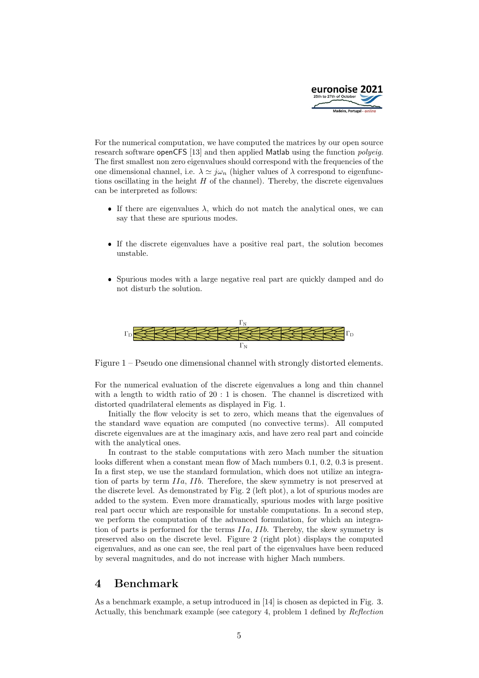

For the numerical computation, we have computed the matrices by our open source research software openCFS [13] and then applied Matlab using the function polyeig. The first smallest non zero eigenvalues should correspond with the frequencies of the one dimensional channel, i.e.  $\lambda \simeq j\omega_n$  (higher values of  $\lambda$  correspond to eigenfunctions oscillating in the height  $H$  of the channel). Thereby, the discrete eigenvalues can be interpreted as follows:

- If there are eigenvalues  $\lambda$ , which do not match the analytical ones, we can say that these are spurious modes.
- If the discrete eigenvalues have a positive real part, the solution becomes unstable.
- Spurious modes with a large negative real part are quickly damped and do not disturb the solution.



Figure 1 – Pseudo one dimensional channel with strongly distorted elements.

For the numerical evaluation of the discrete eigenvalues a long and thin channel with a length to width ratio of 20 : 1 is chosen. The channel is discretized with distorted quadrilateral elements as displayed in Fig. 1.

Initially the flow velocity is set to zero, which means that the eigenvalues of the standard wave equation are computed (no convective terms). All computed discrete eigenvalues are at the imaginary axis, and have zero real part and coincide with the analytical ones.

In contrast to the stable computations with zero Mach number the situation looks different when a constant mean flow of Mach numbers 0.1, 0.2, 0.3 is present. In a first step, we use the standard formulation, which does not utilize an integration of parts by term IIa, IIb. Therefore, the skew symmetry is not preserved at the discrete level. As demonstrated by Fig. 2 (left plot), a lot of spurious modes are added to the system. Even more dramatically, spurious modes with large positive real part occur which are responsible for unstable computations. In a second step, we perform the computation of the advanced formulation, for which an integration of parts is performed for the terms IIa, IIb. Thereby, the skew symmetry is preserved also on the discrete level. Figure 2 (right plot) displays the computed eigenvalues, and as one can see, the real part of the eigenvalues have been reduced by several magnitudes, and do not increase with higher Mach numbers.

### 4 Benchmark

As a benchmark example, a setup introduced in [14] is chosen as depicted in Fig. 3. Actually, this benchmark example (see category 4, problem 1 defined by Reflection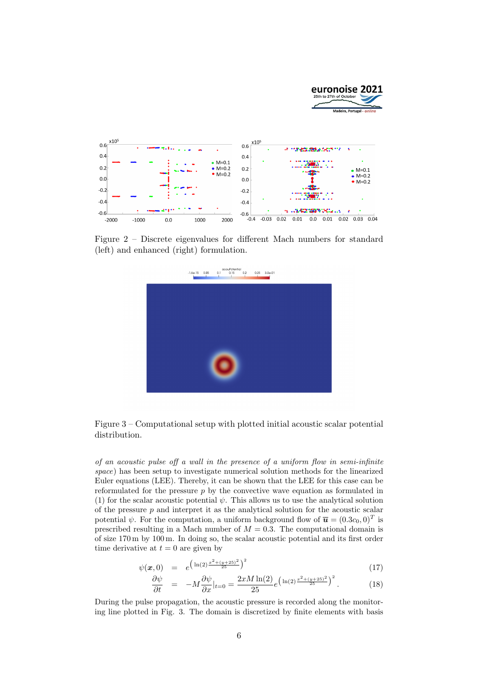

Figure 2 – Discrete eigenvalues for different Mach numbers for standard (left) and enhanced (right) formulation.



Figure 3 – Computational setup with plotted initial acoustic scalar potential distribution.

of an acoustic pulse off a wall in the presence of a uniform flow in semi-infinite space) has been setup to investigate numerical solution methods for the linearized Euler equations (LEE). Thereby, it can be shown that the LEE for this case can be reformulated for the pressure  $p$  by the convective wave equation as formulated in (1) for the scalar acoustic potential  $\psi$ . This allows us to use the analytical solution of the pressure  $p$  and interpret it as the analytical solution for the acoustic scalar potential  $\psi$ . For the computation, a uniform background flow of  $\overline{\mathbf{u}} = (0.3c_0, 0)^T$  is prescribed resulting in a Mach number of  $M = 0.3$ . The computational domain is of size 170 m by 100 m. In doing so, the scalar acoustic potential and its first order time derivative at  $t = 0$  are given by

$$
\psi(\boldsymbol{x},0) = e^{\left(\ln(2)\frac{x^2 + (y + 25)^2}{25}\right)^2}
$$
\n(17)

$$
\frac{\partial \psi}{\partial t} = -M \frac{\partial \psi}{\partial x}|_{t=0} = \frac{2xM \ln(2)}{25} e^{\left(\ln(2)\frac{x^2 + (y + 25)^2}{25}\right)^2}.
$$
 (18)

During the pulse propagation, the acoustic pressure is recorded along the monitoring line plotted in Fig. 3. The domain is discretized by finite elements with basis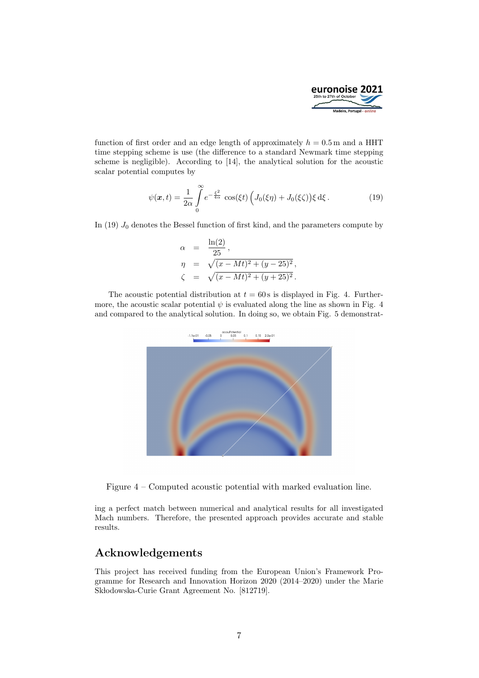

function of first order and an edge length of approximately  $h = 0.5$  m and a HHT time stepping scheme is use (the difference to a standard Newmark time stepping scheme is negligible). According to [14], the analytical solution for the acoustic scalar potential computes by

$$
\psi(\boldsymbol{x},t) = \frac{1}{2\alpha} \int_{0}^{\infty} e^{-\frac{\xi^2}{4\alpha}} \cos(\xi t) \left( J_0(\xi \eta) + J_0(\xi \zeta) \right) \xi \, \mathrm{d}\xi \,. \tag{19}
$$

In (19)  $J_0$  denotes the Bessel function of first kind, and the parameters compute by

$$
\alpha = \frac{\ln(2)}{25},
$$
  
\n
$$
\eta = \sqrt{(x - Mt)^2 + (y - 25)^2},
$$
  
\n
$$
\zeta = \sqrt{(x - Mt)^2 + (y + 25)^2}.
$$

The acoustic potential distribution at  $t = 60$  s is displayed in Fig. 4. Furthermore, the acoustic scalar potential  $\psi$  is evaluated along the line as shown in Fig. 4 and compared to the analytical solution. In doing so, we obtain Fig. 5 demonstrat-



Figure 4 – Computed acoustic potential with marked evaluation line.

ing a perfect match between numerical and analytical results for all investigated Mach numbers. Therefore, the presented approach provides accurate and stable results.

# Acknowledgements

This project has received funding from the European Union's Framework Programme for Research and Innovation Horizon 2020 (2014–2020) under the Marie Sk lodowska-Curie Grant Agreement No. [812719].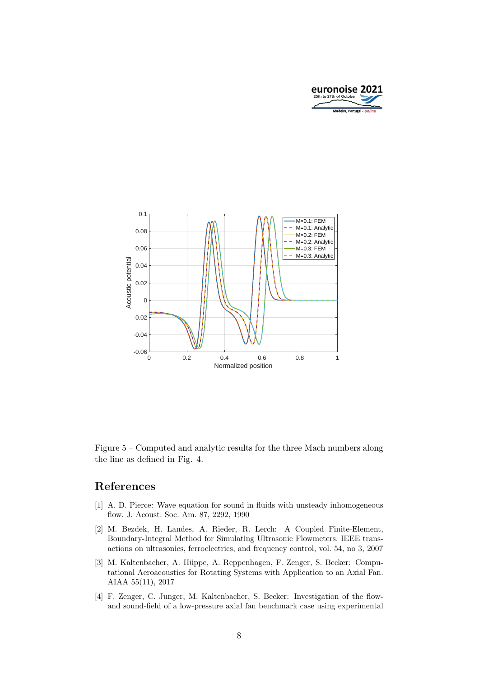



Figure 5 – Computed and analytic results for the three Mach numbers along the line as defined in Fig. 4.

#### References

- [1] A. D. Pierce: Wave equation for sound in fluids with unsteady inhomogeneous flow. J. Acoust. Soc. Am. 87, 2292, 1990
- [2] M. Bezdek, H. Landes, A. Rieder, R. Lerch: A Coupled Finite-Element, Boundary-Integral Method for Simulating Ultrasonic Flowmeters. IEEE transactions on ultrasonics, ferroelectrics, and frequency control, vol. 54, no 3, 2007
- [3] M. Kaltenbacher, A. Hüppe, A. Reppenhagen, F. Zenger, S. Becker: Computational Aeroacoustics for Rotating Systems with Application to an Axial Fan. AIAA 55(11), 2017
- [4] F. Zenger, C. Junger, M. Kaltenbacher, S. Becker: Investigation of the flowand sound-field of a low-pressure axial fan benchmark case using experimental